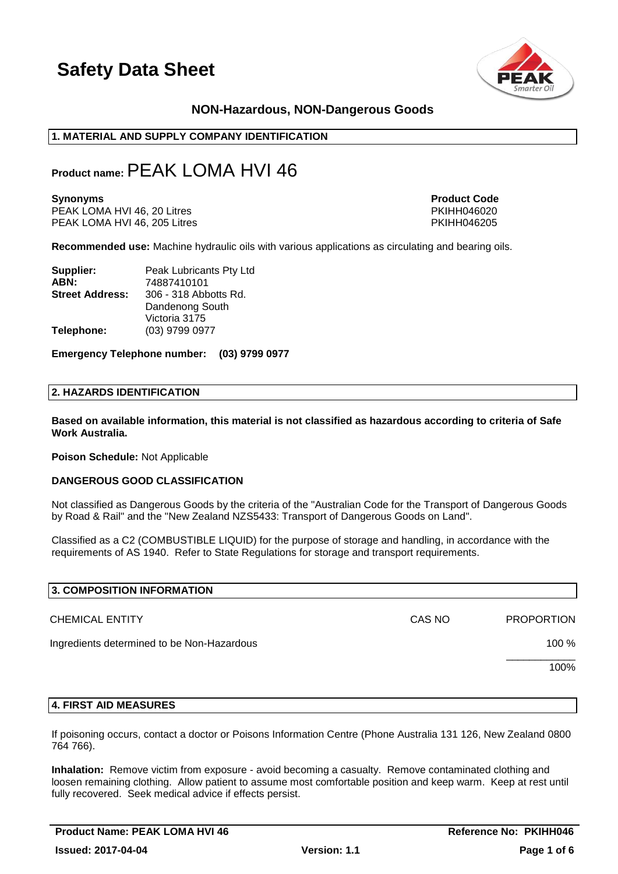

# **NON-Hazardous, NON-Dangerous Goods**

### **1. MATERIAL AND SUPPLY COMPANY IDENTIFICATION**

# **Product name:**PEAK LOMA HVI 46

PEAK LOMA HVI 46, 20 Litres PEAK LOMA HVI 46, 20 Litres PKIHH046020<br>PEAK LOMA HVI 46, 205 Litres PEAK PEAK PKIHH046205 PEAK LOMA HVI 46, 205 Litres

**Synonyms Product Code** 

**Recommended use:** Machine hydraulic oils with various applications as circulating and bearing oils.

| Supplier:              | Peak Lubricants Pty Ltd |  |
|------------------------|-------------------------|--|
| ABN:                   | 74887410101             |  |
| <b>Street Address:</b> | 306 - 318 Abbotts Rd.   |  |
|                        | Dandenong South         |  |
|                        | Victoria 3175           |  |
| Telephone:             | (03) 9799 0977          |  |

**Emergency Telephone number: (03) 9799 0977**

#### **2. HAZARDS IDENTIFICATION**

**Based on available information, this material is not classified as hazardous according to criteria of Safe Work Australia.**

**Poison Schedule:** Not Applicable

#### **DANGEROUS GOOD CLASSIFICATION**

Not classified as Dangerous Goods by the criteria of the "Australian Code for the Transport of Dangerous Goods by Road & Rail" and the "New Zealand NZS5433: Transport of Dangerous Goods on Land".

Classified as a C2 (COMBUSTIBLE LIQUID) for the purpose of storage and handling, in accordance with the requirements of AS 1940. Refer to State Regulations for storage and transport requirements.

| 3. COMPOSITION INFORMATION                 |        |                   |
|--------------------------------------------|--------|-------------------|
| <b>CHEMICAL ENTITY</b>                     | CAS NO | <b>PROPORTION</b> |
| Ingredients determined to be Non-Hazardous |        | 100 %             |
|                                            |        | 100%              |
|                                            |        |                   |

#### **4. FIRST AID MEASURES**

If poisoning occurs, contact a doctor or Poisons Information Centre (Phone Australia 131 126, New Zealand 0800 764 766).

**Inhalation:** Remove victim from exposure - avoid becoming a casualty. Remove contaminated clothing and loosen remaining clothing. Allow patient to assume most comfortable position and keep warm. Keep at rest until fully recovered. Seek medical advice if effects persist.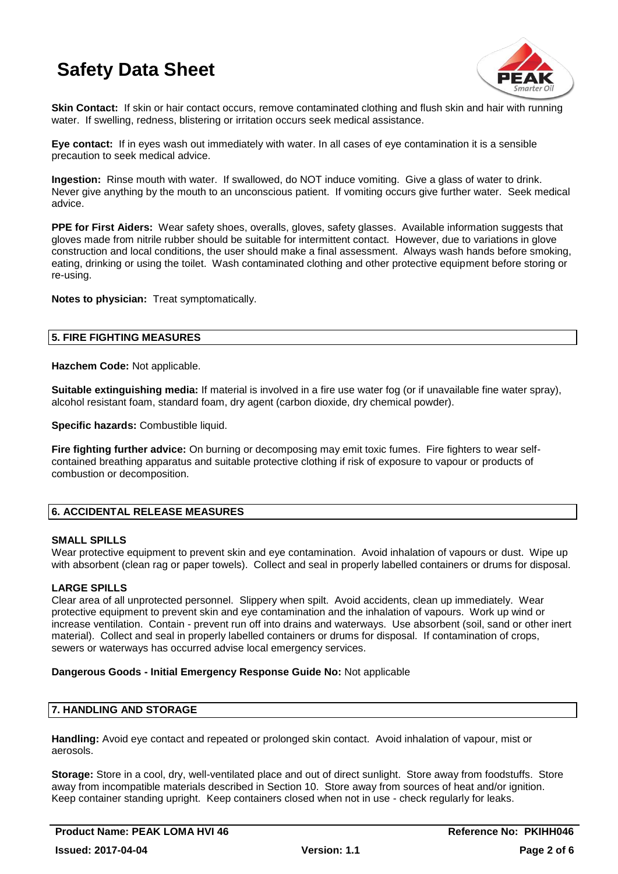

**Skin Contact:** If skin or hair contact occurs, remove contaminated clothing and flush skin and hair with running water. If swelling, redness, blistering or irritation occurs seek medical assistance.

**Eye contact:** If in eyes wash out immediately with water. In all cases of eye contamination it is a sensible precaution to seek medical advice.

**Ingestion:** Rinse mouth with water. If swallowed, do NOT induce vomiting. Give a glass of water to drink. Never give anything by the mouth to an unconscious patient. If vomiting occurs give further water. Seek medical advice.

**PPE for First Aiders:** Wear safety shoes, overalls, gloves, safety glasses. Available information suggests that gloves made from nitrile rubber should be suitable for intermittent contact. However, due to variations in glove construction and local conditions, the user should make a final assessment. Always wash hands before smoking, eating, drinking or using the toilet. Wash contaminated clothing and other protective equipment before storing or re-using.

**Notes to physician:** Treat symptomatically.

# **5. FIRE FIGHTING MEASURES**

**Hazchem Code:** Not applicable.

**Suitable extinguishing media:** If material is involved in a fire use water fog (or if unavailable fine water spray), alcohol resistant foam, standard foam, dry agent (carbon dioxide, dry chemical powder).

**Specific hazards:** Combustible liquid.

**Fire fighting further advice:** On burning or decomposing may emit toxic fumes. Fire fighters to wear selfcontained breathing apparatus and suitable protective clothing if risk of exposure to vapour or products of combustion or decomposition.

# **6. ACCIDENTAL RELEASE MEASURES**

## **SMALL SPILLS**

Wear protective equipment to prevent skin and eye contamination. Avoid inhalation of vapours or dust. Wipe up with absorbent (clean rag or paper towels). Collect and seal in properly labelled containers or drums for disposal.

# **LARGE SPILLS**

Clear area of all unprotected personnel. Slippery when spilt. Avoid accidents, clean up immediately. Wear protective equipment to prevent skin and eye contamination and the inhalation of vapours. Work up wind or increase ventilation. Contain - prevent run off into drains and waterways. Use absorbent (soil, sand or other inert material). Collect and seal in properly labelled containers or drums for disposal. If contamination of crops, sewers or waterways has occurred advise local emergency services.

#### **Dangerous Goods - Initial Emergency Response Guide No:** Not applicable

# **7. HANDLING AND STORAGE**

**Handling:** Avoid eye contact and repeated or prolonged skin contact. Avoid inhalation of vapour, mist or aerosols.

**Storage:** Store in a cool, dry, well-ventilated place and out of direct sunlight. Store away from foodstuffs. Store away from incompatible materials described in Section 10. Store away from sources of heat and/or ignition. Keep container standing upright. Keep containers closed when not in use - check regularly for leaks.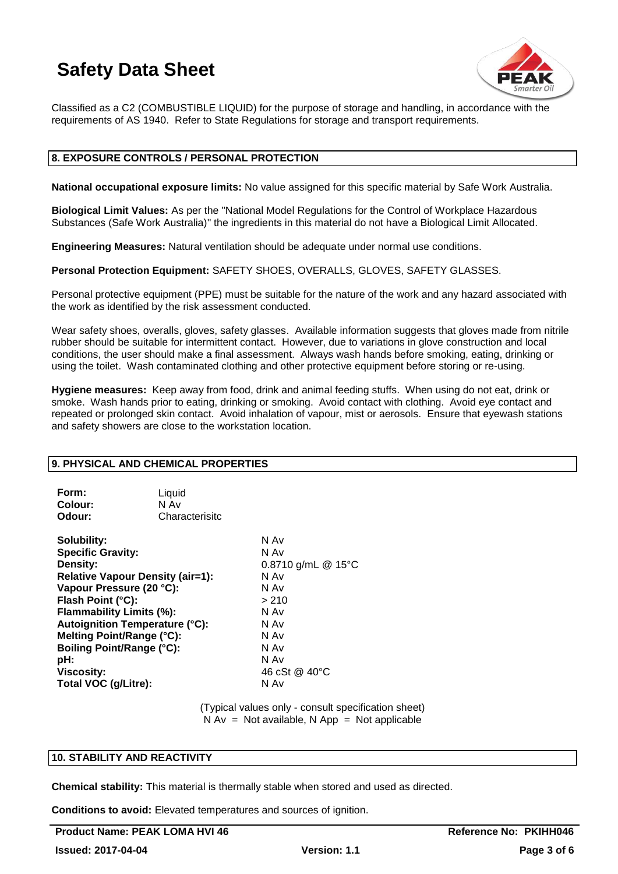

Classified as a C2 (COMBUSTIBLE LIQUID) for the purpose of storage and handling, in accordance with the requirements of AS 1940. Refer to State Regulations for storage and transport requirements.

## **8. EXPOSURE CONTROLS / PERSONAL PROTECTION**

**National occupational exposure limits:** No value assigned for this specific material by Safe Work Australia.

**Biological Limit Values:** As per the "National Model Regulations for the Control of Workplace Hazardous Substances (Safe Work Australia)" the ingredients in this material do not have a Biological Limit Allocated.

**Engineering Measures:** Natural ventilation should be adequate under normal use conditions.

**Personal Protection Equipment:** SAFETY SHOES, OVERALLS, GLOVES, SAFETY GLASSES.

Personal protective equipment (PPE) must be suitable for the nature of the work and any hazard associated with the work as identified by the risk assessment conducted.

Wear safety shoes, overalls, gloves, safety glasses. Available information suggests that gloves made from nitrile rubber should be suitable for intermittent contact. However, due to variations in glove construction and local conditions, the user should make a final assessment. Always wash hands before smoking, eating, drinking or using the toilet. Wash contaminated clothing and other protective equipment before storing or re-using.

**Hygiene measures:** Keep away from food, drink and animal feeding stuffs. When using do not eat, drink or smoke. Wash hands prior to eating, drinking or smoking. Avoid contact with clothing. Avoid eye contact and repeated or prolonged skin contact. Avoid inhalation of vapour, mist or aerosols. Ensure that eyewash stations and safety showers are close to the workstation location.

#### **9. PHYSICAL AND CHEMICAL PROPERTIES**

| Form:   | Liquid         |
|---------|----------------|
| Colour: | N Av           |
| Odour:  | Characterisitc |

| Solubility:                           | N Av               |
|---------------------------------------|--------------------|
| <b>Specific Gravity:</b>              | N Av               |
| Density:                              | 0.8710 g/mL @ 15°C |
| Relative Vapour Density (air=1):      | N Av               |
| Vapour Pressure (20 °C):              | N Av               |
| Flash Point (°C):                     | > 210              |
| Flammability Limits (%):              | N Av               |
| <b>Autoignition Temperature (°C):</b> | N Av               |
| Melting Point/Range (°C):             | N Av               |
| <b>Boiling Point/Range (°C):</b>      | N Av               |
| pH:                                   | N Av               |
| <b>Viscosity:</b>                     | 46 cSt @ 40°C      |
| Total VOC (g/Litre):                  | N Av               |
|                                       |                    |

(Typical values only - consult specification sheet)  $N Av = Not available, N App = Not applicable$ 

# **10. STABILITY AND REACTIVITY**

**Chemical stability:** This material is thermally stable when stored and used as directed.

**Conditions to avoid:** Elevated temperatures and sources of ignition.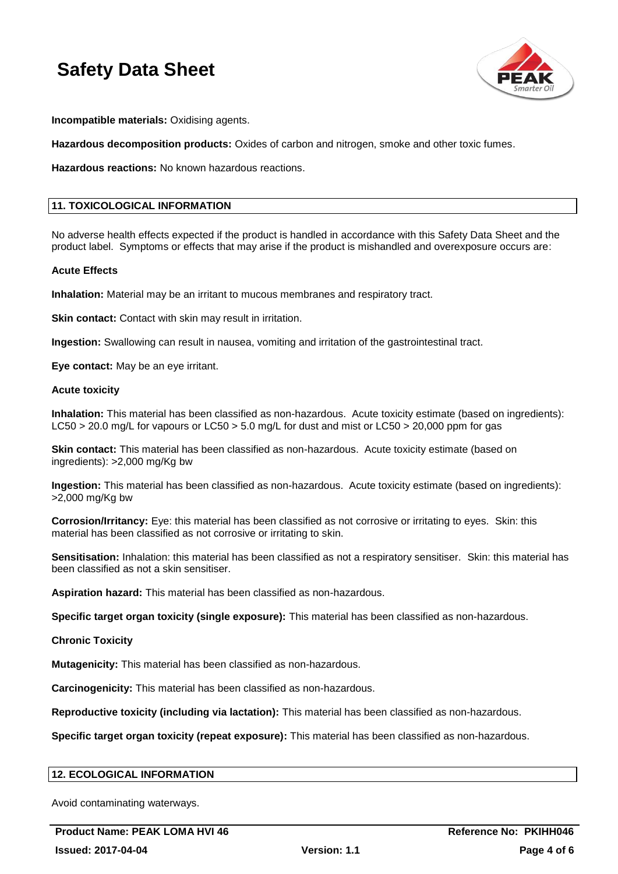

**Incompatible materials:** Oxidising agents.

**Hazardous decomposition products:** Oxides of carbon and nitrogen, smoke and other toxic fumes.

**Hazardous reactions:** No known hazardous reactions.

# **11. TOXICOLOGICAL INFORMATION**

No adverse health effects expected if the product is handled in accordance with this Safety Data Sheet and the product label. Symptoms or effects that may arise if the product is mishandled and overexposure occurs are:

#### **Acute Effects**

**Inhalation:** Material may be an irritant to mucous membranes and respiratory tract.

**Skin contact:** Contact with skin may result in irritation.

**Ingestion:** Swallowing can result in nausea, vomiting and irritation of the gastrointestinal tract.

**Eye contact:** May be an eye irritant.

#### **Acute toxicity**

**Inhalation:** This material has been classified as non-hazardous. Acute toxicity estimate (based on ingredients): LC50 > 20.0 mg/L for vapours or LC50 > 5.0 mg/L for dust and mist or LC50 > 20,000 ppm for gas

**Skin contact:** This material has been classified as non-hazardous. Acute toxicity estimate (based on ingredients): >2,000 mg/Kg bw

**Ingestion:** This material has been classified as non-hazardous. Acute toxicity estimate (based on ingredients): >2,000 mg/Kg bw

**Corrosion/Irritancy:** Eye: this material has been classified as not corrosive or irritating to eyes. Skin: this material has been classified as not corrosive or irritating to skin.

**Sensitisation:** Inhalation: this material has been classified as not a respiratory sensitiser. Skin: this material has been classified as not a skin sensitiser.

**Aspiration hazard:** This material has been classified as non-hazardous.

**Specific target organ toxicity (single exposure):** This material has been classified as non-hazardous.

**Chronic Toxicity**

**Mutagenicity:** This material has been classified as non-hazardous.

**Carcinogenicity:** This material has been classified as non-hazardous.

**Reproductive toxicity (including via lactation):** This material has been classified as non-hazardous.

**Specific target organ toxicity (repeat exposure):** This material has been classified as non-hazardous.

## **12. ECOLOGICAL INFORMATION**

Avoid contaminating waterways.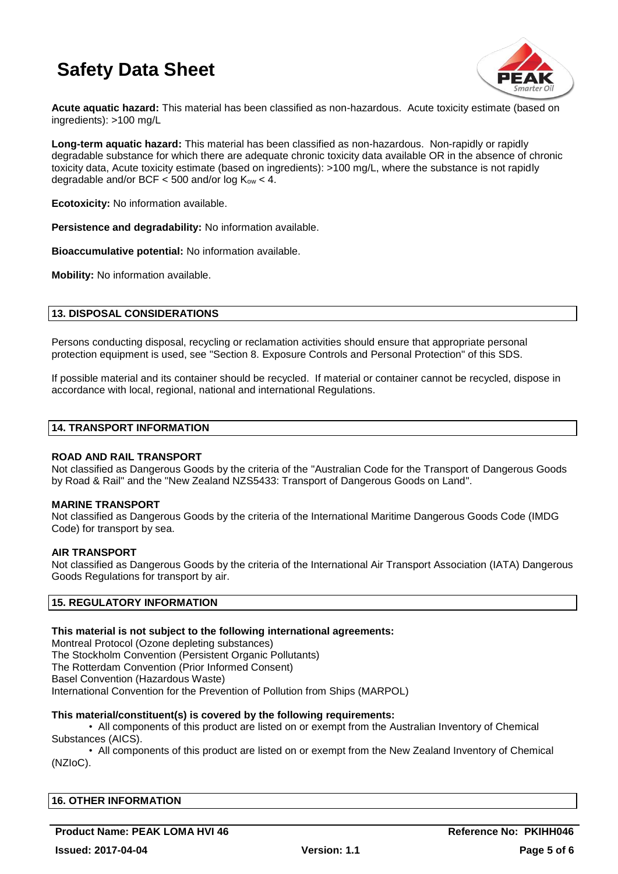

**Acute aquatic hazard:** This material has been classified as non-hazardous. Acute toxicity estimate (based on ingredients): >100 mg/L

**Long-term aquatic hazard:** This material has been classified as non-hazardous. Non-rapidly or rapidly degradable substance for which there are adequate chronic toxicity data available OR in the absence of chronic toxicity data, Acute toxicity estimate (based on ingredients): >100 mg/L, where the substance is not rapidly degradable and/or BCF  $<$  500 and/or log  $K_{ow}$   $<$  4.

**Ecotoxicity:** No information available.

**Persistence and degradability:** No information available.

**Bioaccumulative potential:** No information available.

**Mobility:** No information available.

## **13. DISPOSAL CONSIDERATIONS**

Persons conducting disposal, recycling or reclamation activities should ensure that appropriate personal protection equipment is used, see "Section 8. Exposure Controls and Personal Protection" of this SDS.

If possible material and its container should be recycled. If material or container cannot be recycled, dispose in accordance with local, regional, national and international Regulations.

#### **14. TRANSPORT INFORMATION**

#### **ROAD AND RAIL TRANSPORT**

Not classified as Dangerous Goods by the criteria of the "Australian Code for the Transport of Dangerous Goods by Road & Rail" and the "New Zealand NZS5433: Transport of Dangerous Goods on Land".

#### **MARINE TRANSPORT**

Not classified as Dangerous Goods by the criteria of the International Maritime Dangerous Goods Code (IMDG Code) for transport by sea.

#### **AIR TRANSPORT**

Not classified as Dangerous Goods by the criteria of the International Air Transport Association (IATA) Dangerous Goods Regulations for transport by air.

## **15. REGULATORY INFORMATION**

#### **This material is not subject to the following international agreements:**

Montreal Protocol (Ozone depleting substances) The Stockholm Convention (Persistent Organic Pollutants) The Rotterdam Convention (Prior Informed Consent) Basel Convention (Hazardous Waste) International Convention for the Prevention of Pollution from Ships (MARPOL)

#### **This material/constituent(s) is covered by the following requirements:**

• All components of this product are listed on or exempt from the Australian Inventory of Chemical Substances (AICS).

• All components of this product are listed on or exempt from the New Zealand Inventory of Chemical (NZIoC).

| <b>16. OTHER INFORMATION</b> |  |  |
|------------------------------|--|--|
|                              |  |  |

# **Product Name: PEAK LOMA HVI 46 Reference No: PKIHH046**